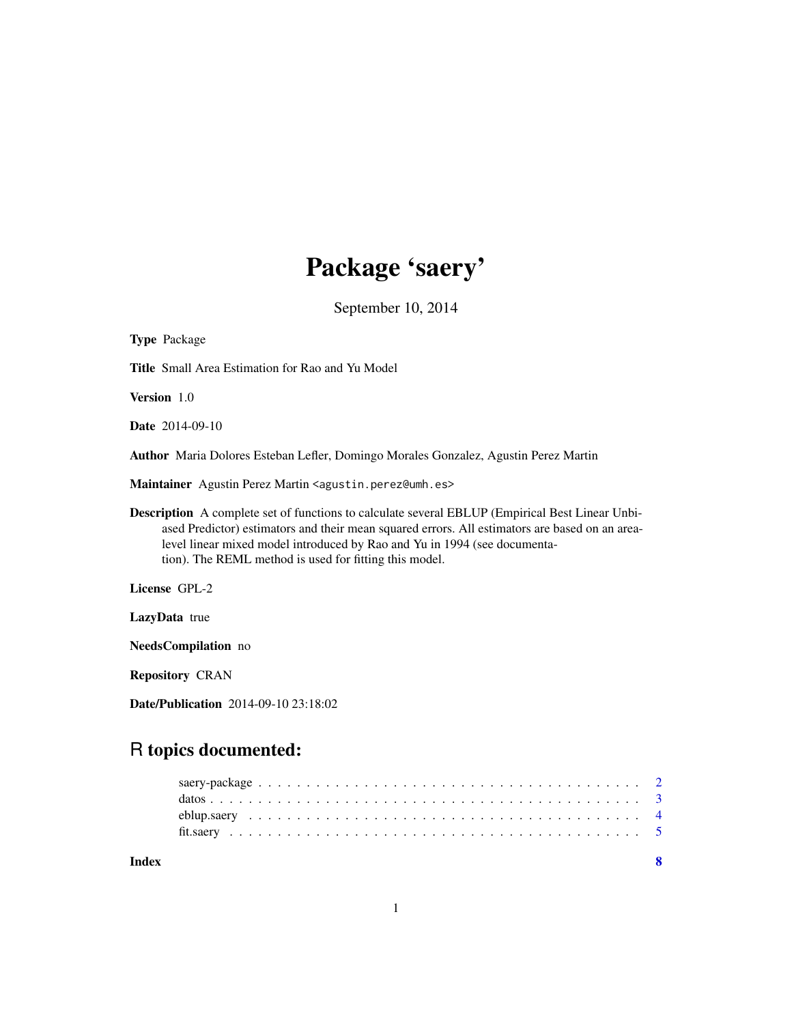# Package 'saery'

September 10, 2014

| Type Package                                                                                                                                                                                                                                                                                                                                    |
|-------------------------------------------------------------------------------------------------------------------------------------------------------------------------------------------------------------------------------------------------------------------------------------------------------------------------------------------------|
| <b>Title</b> Small Area Estimation for Rao and Yu Model                                                                                                                                                                                                                                                                                         |
| <b>Version</b> 1.0                                                                                                                                                                                                                                                                                                                              |
| <b>Date</b> 2014-09-10                                                                                                                                                                                                                                                                                                                          |
| Author Maria Dolores Esteban Lefler, Domingo Morales Gonzalez, Agustin Perez Martin                                                                                                                                                                                                                                                             |
| Maintainer Agustin Perez Martin <agustin.perez@umh.es></agustin.perez@umh.es>                                                                                                                                                                                                                                                                   |
| <b>Description</b> A complete set of functions to calculate several EBLUP (Empirical Best Linear Unbi-<br>ased Predictor) estimators and their mean squared errors. All estimators are based on an area-<br>level linear mixed model introduced by Rao and Yu in 1994 (see documenta-<br>tion). The REML method is used for fitting this model. |
| License GPL-2                                                                                                                                                                                                                                                                                                                                   |
| LazyData true                                                                                                                                                                                                                                                                                                                                   |
| NeedsCompilation no                                                                                                                                                                                                                                                                                                                             |
| <b>Repository CRAN</b>                                                                                                                                                                                                                                                                                                                          |
| <b>Date/Publication</b> 2014-09-10 23:18:02                                                                                                                                                                                                                                                                                                     |

# R topics documented:

| Index |  |
|-------|--|
|       |  |
|       |  |
|       |  |
|       |  |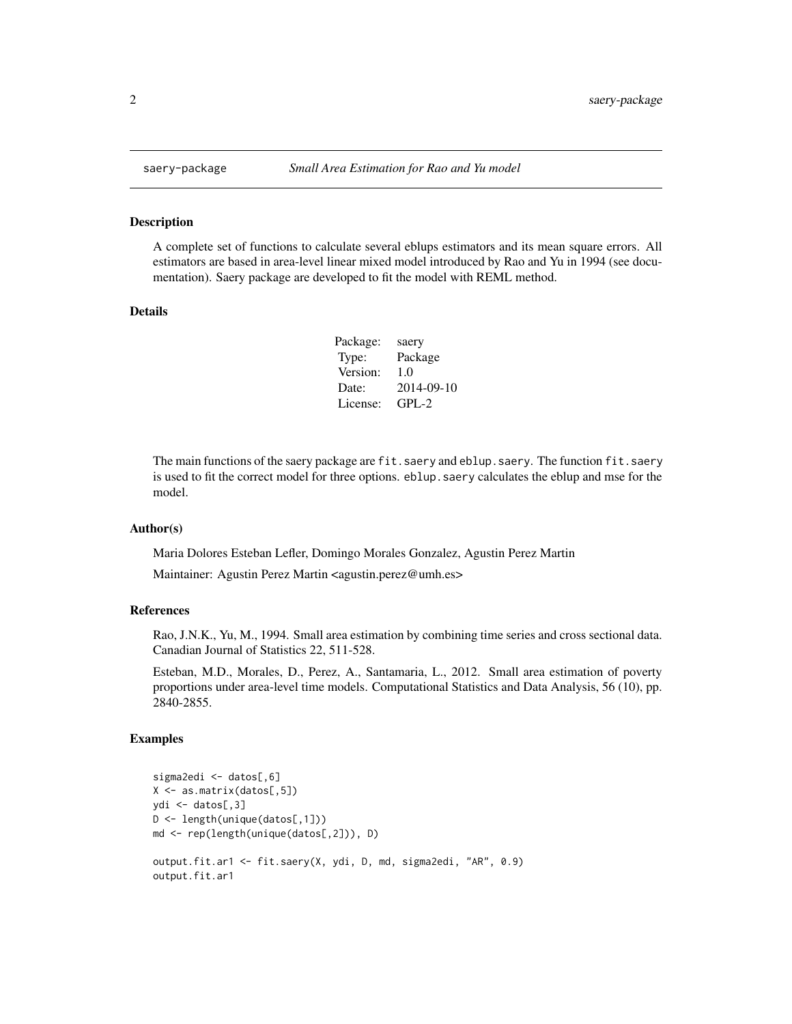#### Description

A complete set of functions to calculate several eblups estimators and its mean square errors. All estimators are based in area-level linear mixed model introduced by Rao and Yu in 1994 (see documentation). Saery package are developed to fit the model with REML method.

#### Details

| Package: | saery      |
|----------|------------|
| Type:    | Package    |
| Version: | 1.0        |
| Date:    | 2014-09-10 |
| License: | $GPI - 2$  |

The main functions of the saery package are fit.saery and eblup.saery. The function fit.saery is used to fit the correct model for three options. eblup.saery calculates the eblup and mse for the model.

#### Author(s)

Maria Dolores Esteban Lefler, Domingo Morales Gonzalez, Agustin Perez Martin

Maintainer: Agustin Perez Martin <agustin.perez@umh.es>

#### References

Rao, J.N.K., Yu, M., 1994. Small area estimation by combining time series and cross sectional data. Canadian Journal of Statistics 22, 511-528.

Esteban, M.D., Morales, D., Perez, A., Santamaria, L., 2012. Small area estimation of poverty proportions under area-level time models. Computational Statistics and Data Analysis, 56 (10), pp. 2840-2855.

# Examples

```
sigma2edi <- datos[,6]
X <- as.matrix(datos[,5])
ydi <- datos[,3]
D <- length(unique(datos[,1]))
md <- rep(length(unique(datos[,2])), D)
output.fit.ar1 <- fit.saery(X, ydi, D, md, sigma2edi, "AR", 0.9)
output.fit.ar1
```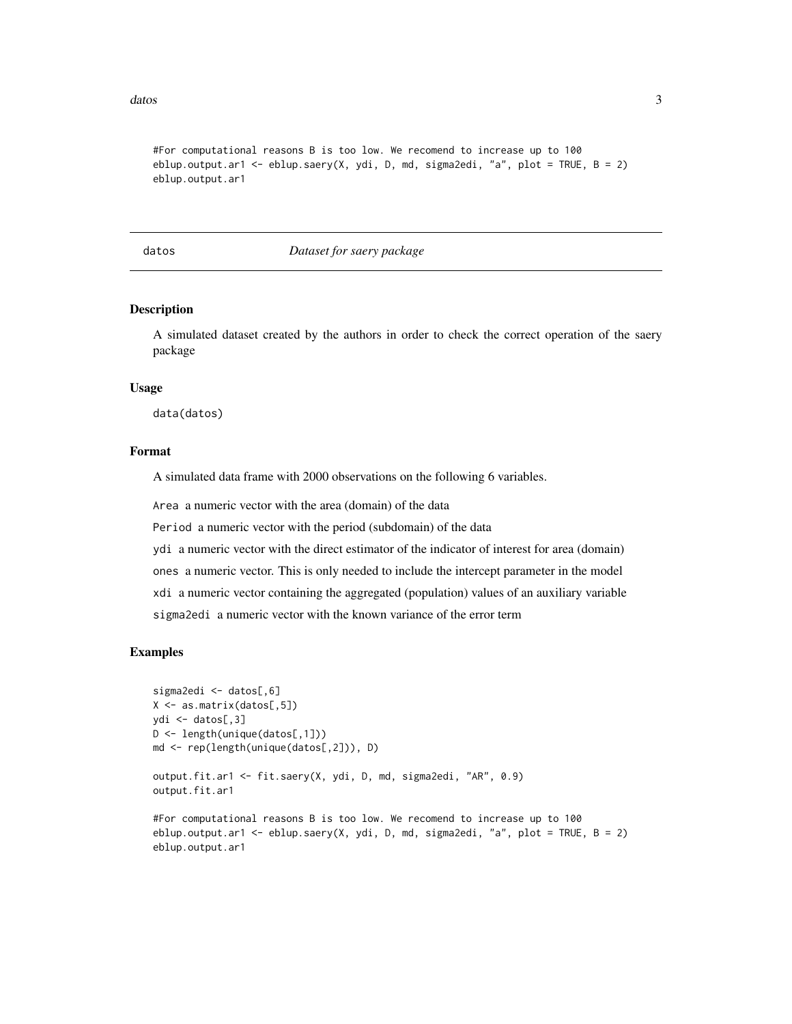<span id="page-2-0"></span>datos antico de la contrada de la contrada de la contrada de la contrada de la contrada de la contrada de la contrada de la contrada de la contrada de la contrada de la contrada de la contrada de la contrada de la contrada

```
#For computational reasons B is too low. We recomend to increase up to 100
eblup.output.ar1 <- eblup.saery(X, ydi, D, md, sigma2edi, "a", plot = TRUE, B = 2)
eblup.output.ar1
```
datos *Dataset for saery package*

#### Description

A simulated dataset created by the authors in order to check the correct operation of the saery package

#### Usage

data(datos)

# Format

A simulated data frame with 2000 observations on the following 6 variables.

Area a numeric vector with the area (domain) of the data

Period a numeric vector with the period (subdomain) of the data

ydi a numeric vector with the direct estimator of the indicator of interest for area (domain)

ones a numeric vector. This is only needed to include the intercept parameter in the model

xdi a numeric vector containing the aggregated (population) values of an auxiliary variable

sigma2edi a numeric vector with the known variance of the error term

#### Examples

```
sigma2edi <- datos[,6]
X <- as.matrix(datos[,5])
ydi <- datos[,3]
D <- length(unique(datos[,1]))
md <- rep(length(unique(datos[,2])), D)
output.fit.ar1 <- fit.saery(X, ydi, D, md, sigma2edi, "AR", 0.9)
output.fit.ar1
#For computational reasons B is too low. We recomend to increase up to 100
eblup.output.ar1 <- eblup.saery(X, ydi, D, md, sigma2edi, "a", plot = TRUE, B = 2)
eblup.output.ar1
```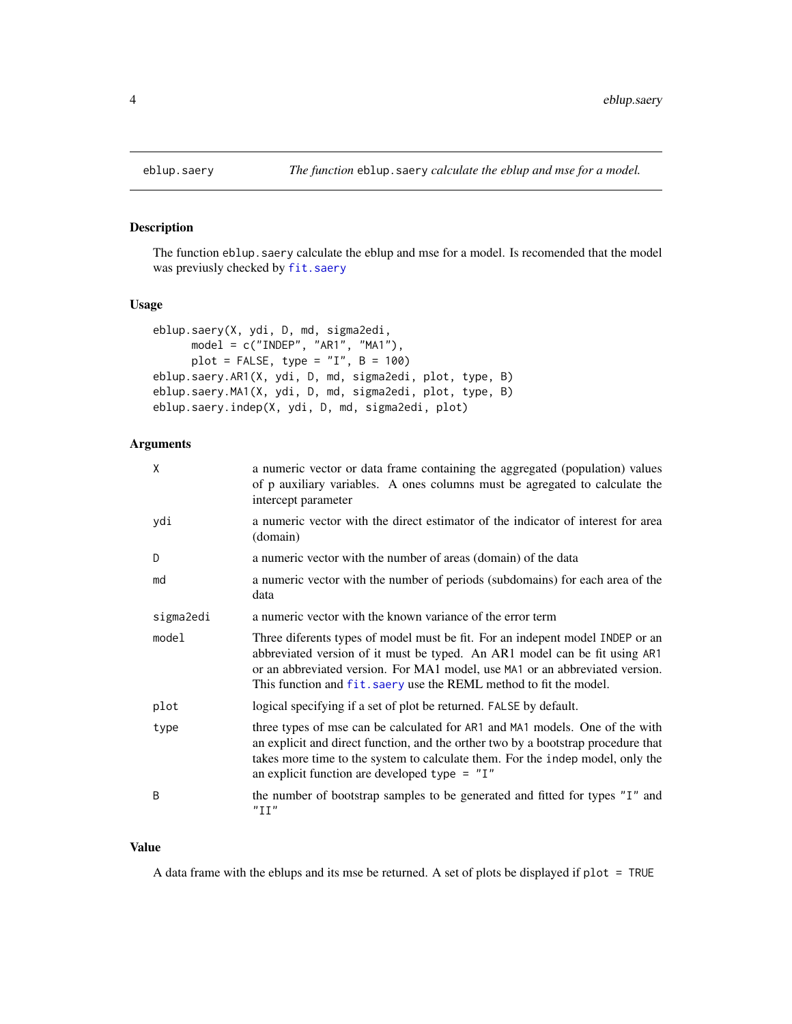# Description

The function eblup.saery calculate the eblup and mse for a model. Is recomended that the model was previusly checked by [fit.saery](#page-4-1)

# Usage

```
eblup.saery(X, ydi, D, md, sigma2edi,
     model = c("INDEP", "AR1", "MA1"),
     plot = FALSE, type = "I", B = 100eblup.saery.AR1(X, ydi, D, md, sigma2edi, plot, type, B)
eblup.saery.MA1(X, ydi, D, md, sigma2edi, plot, type, B)
eblup.saery.indep(X, ydi, D, md, sigma2edi, plot)
```
# Arguments

| X         | a numeric vector or data frame containing the aggregated (population) values<br>of p auxiliary variables. A ones columns must be agregated to calculate the<br>intercept parameter                                                                                                                                |
|-----------|-------------------------------------------------------------------------------------------------------------------------------------------------------------------------------------------------------------------------------------------------------------------------------------------------------------------|
| ydi       | a numeric vector with the direct estimator of the indicator of interest for area<br>(domain)                                                                                                                                                                                                                      |
| D         | a numeric vector with the number of areas (domain) of the data                                                                                                                                                                                                                                                    |
| md        | a numeric vector with the number of periods (subdomains) for each area of the<br>data                                                                                                                                                                                                                             |
| sigma2edi | a numeric vector with the known variance of the error term                                                                                                                                                                                                                                                        |
| model     | Three diferents types of model must be fit. For an indepent model INDEP or an<br>abbreviated version of it must be typed. An AR1 model can be fit using AR1<br>or an abbreviated version. For MA1 model, use MA1 or an abbreviated version.<br>This function and fit. saery use the REML method to fit the model. |
| plot      | logical specifying if a set of plot be returned. FALSE by default.                                                                                                                                                                                                                                                |
| type      | three types of mse can be calculated for AR1 and MA1 models. One of the with<br>an explicit and direct function, and the orther two by a bootstrap procedure that<br>takes more time to the system to calculate them. For the indep model, only the<br>an explicit function are developed type $=$ "I"            |
| B         | the number of bootstrap samples to be generated and fitted for types "I" and<br>"III"                                                                                                                                                                                                                             |

#### Value

A data frame with the eblups and its mse be returned. A set of plots be displayed if plot = TRUE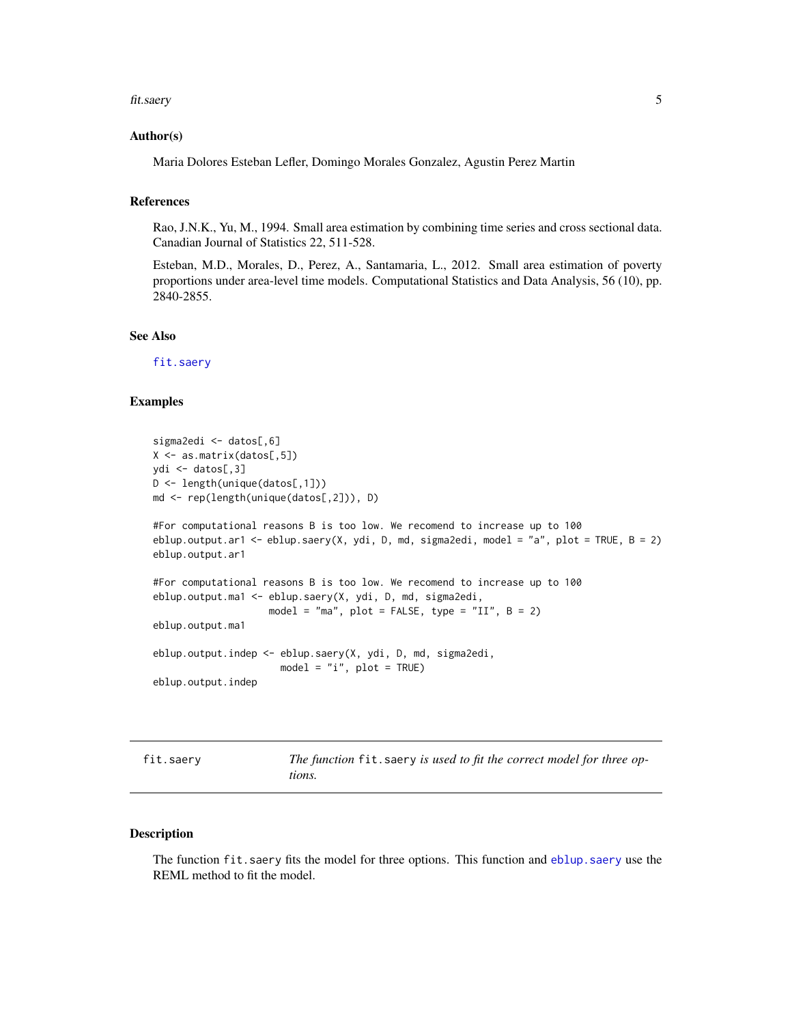#### <span id="page-4-0"></span>fit.saery 5

#### Author(s)

Maria Dolores Esteban Lefler, Domingo Morales Gonzalez, Agustin Perez Martin

#### References

Rao, J.N.K., Yu, M., 1994. Small area estimation by combining time series and cross sectional data. Canadian Journal of Statistics 22, 511-528.

Esteban, M.D., Morales, D., Perez, A., Santamaria, L., 2012. Small area estimation of poverty proportions under area-level time models. Computational Statistics and Data Analysis, 56 (10), pp. 2840-2855.

# See Also

[fit.saery](#page-4-1)

#### Examples

```
sigma2edi <- datos[,6]
X <- as.matrix(datos[,5])
ydi <- datos[,3]
D <- length(unique(datos[,1]))
md <- rep(length(unique(datos[,2])), D)
#For computational reasons B is too low. We recomend to increase up to 100
eblup.output.ar1 <- eblup.saery(X, ydi, D, md, sigma2edi, model = "a", plot = TRUE, B = 2)
eblup.output.ar1
#For computational reasons B is too low. We recomend to increase up to 100
eblup.output.ma1 <- eblup.saery(X, ydi, D, md, sigma2edi,
                    model = "ma", plot = FALSE, type = "II", B = 2)
eblup.output.ma1
eblup.output.indep <- eblup.saery(X, ydi, D, md, sigma2edi,
                      model = "i", plot = TRUE)eblup.output.indep
```
<span id="page-4-1"></span>

|  |  | fit.saery |  |
|--|--|-----------|--|
|  |  |           |  |

The function fit. saery is used to fit the correct model for three op*tions.*

# Description

The function fit.saery fits the model for three options. This function and [eblup.saery](#page-3-1) use the REML method to fit the model.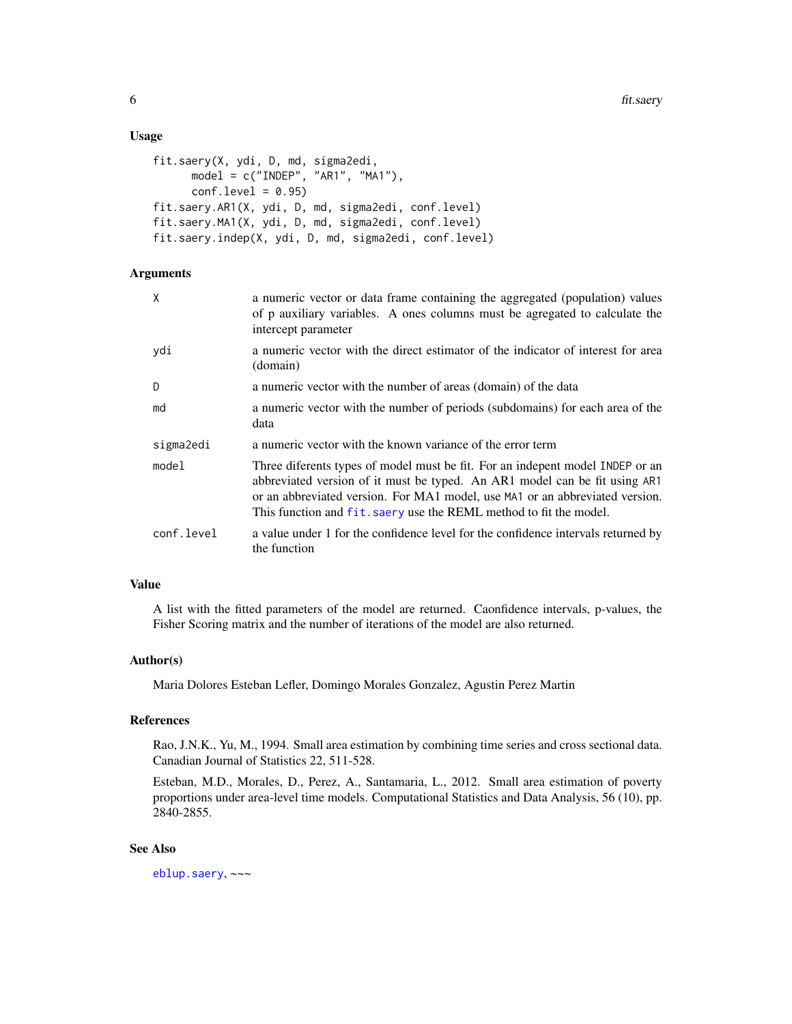#### <span id="page-5-0"></span>Usage

```
fit.saery(X, ydi, D, md, sigma2edi,
     model = c("INDEP", "AR1", "MA1"),
     conf.level = 0.95fit.saery.AR1(X, ydi, D, md, sigma2edi, conf.level)
fit.saery.MA1(X, ydi, D, md, sigma2edi, conf.level)
fit.saery.indep(X, ydi, D, md, sigma2edi, conf.level)
```
#### **Arguments**

| Χ          | a numeric vector or data frame containing the aggregated (population) values<br>of p auxiliary variables. A ones columns must be agregated to calculate the<br>intercept parameter                                                                                                                                |
|------------|-------------------------------------------------------------------------------------------------------------------------------------------------------------------------------------------------------------------------------------------------------------------------------------------------------------------|
| ydi        | a numeric vector with the direct estimator of the indicator of interest for area<br>(domain)                                                                                                                                                                                                                      |
| D          | a numeric vector with the number of areas (domain) of the data                                                                                                                                                                                                                                                    |
| md         | a numeric vector with the number of periods (subdomains) for each area of the<br>data                                                                                                                                                                                                                             |
| sigma2edi  | a numeric vector with the known variance of the error term                                                                                                                                                                                                                                                        |
| model      | Three diferents types of model must be fit. For an indepent model INDEP or an<br>abbreviated version of it must be typed. An AR1 model can be fit using AR1<br>or an abbreviated version. For MA1 model, use MA1 or an abbreviated version.<br>This function and fit, saery use the REML method to fit the model. |
| conf.level | a value under 1 for the confidence level for the confidence intervals returned by<br>the function                                                                                                                                                                                                                 |

# Value

A list with the fitted parameters of the model are returned. Caonfidence intervals, p-values, the Fisher Scoring matrix and the number of iterations of the model are also returned.

# Author(s)

Maria Dolores Esteban Lefler, Domingo Morales Gonzalez, Agustin Perez Martin

#### References

Rao, J.N.K., Yu, M., 1994. Small area estimation by combining time series and cross sectional data. Canadian Journal of Statistics 22, 511-528.

Esteban, M.D., Morales, D., Perez, A., Santamaria, L., 2012. Small area estimation of poverty proportions under area-level time models. Computational Statistics and Data Analysis, 56 (10), pp. 2840-2855.

# See Also

[eblup.saery](#page-3-1), ~~~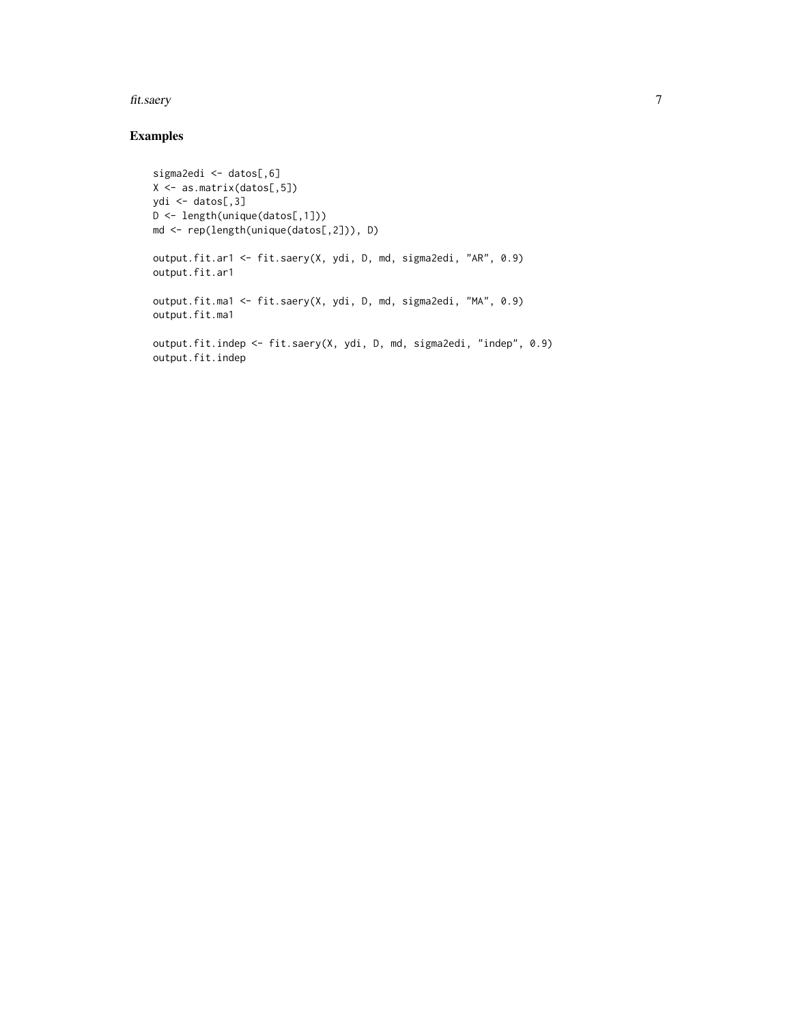#### fit.saery 7

# Examples

```
sigma2edi <- datos[,6]
X <- as.matrix(datos[,5])
ydi <- datos[,3]
D <- length(unique(datos[,1]))
md <- rep(length(unique(datos[,2])), D)
output.fit.ar1 <- fit.saery(X, ydi, D, md, sigma2edi, "AR", 0.9)
output.fit.ar1
output.fit.ma1 <- fit.saery(X, ydi, D, md, sigma2edi, "MA", 0.9)
output.fit.ma1
output.fit.indep <- fit.saery(X, ydi, D, md, sigma2edi, "indep", 0.9)
output.fit.indep
```